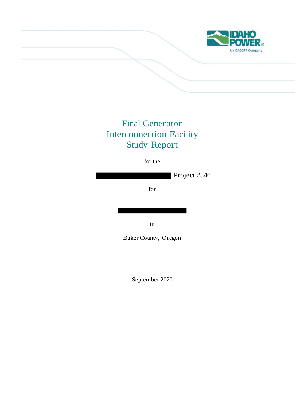

# Final Generator Interconnection Facility Study Report

for the

Project #546

for

in

Baker County, Oregon

September 2020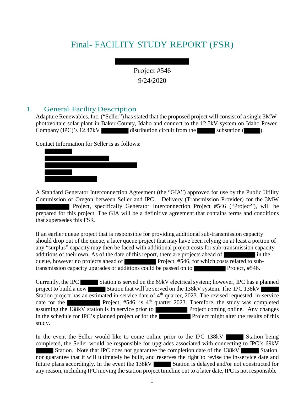# Final- FACILITY STUDY REPORT (FSR)

Project #546 9/24/2020

## 1. General Facility Description

Adapture Renewables, Inc. ("Seller") has stated that the proposed project will consist of a single 3MW photovoltaic solar plant in Baker County, Idaho and connect to the 12.5kV system on Idaho Power Company  $(IPC)^s$  12.47kV distribution circuit from the substation  $($ 

Contact Information for Seller is as follows:

A Standard Generator Interconnection Agreement (the "GIA") approved for use by the Public Utility Commission of Oregon between Seller and IPC – Delivery (Transmission Provider) for the 3MW Project, specifically Generator Interconnection Project #546 ("Project"), will be prepared for this project. The GIA will be a definitive agreement that contains terms and conditions that supersedes this FSR.

If an earlier queue project that is responsible for providing additional sub-transmission capacity should drop out of the queue, a later queue project that may have been relying on at least a portion of any "surplus" capacity may then be faced with additional project costs for sub-transmission capacity additions of their own. As of the date of this report, there are projects ahead of in the queue, however no projects ahead of **Project**, #546, for which costs related to subtransmission capacity upgrades or additions could be passed on to **Project**, #546.

Currently, the IPC Station is served on the 69kV electrical system; however, IPC has a planned project to build a new Station that will be served on the 138kV system. The IPC 138kV Station project has an estimated in-service date of 4<sup>th</sup> quarter, 2023. The revised requested in-service date for the **Project**, #546, is 4<sup>th</sup> quarter 2023. Therefore, the study was completed assuming the 138kV station is in service prior to Project coming online. Any changes in the schedule for IPC's planned project or for the Project might alter the results of this study.

In the event the Seller would like to come online prior to the IPC  $138kV$  Station being completed, the Seller would be responsible for upgrades associated with connecting to IPC's 69kV Station. Note that IPC does not guarantee the completion date of the 138kV Station, nor guarantee that it will ultimately be built, and reserves the right to revise the in-service date and future plans accordingly. In the event the  $138kV$  Station is delayed and/or not constructed for any reason, including IPC moving the station project timeline out to a later date, IPC is not responsible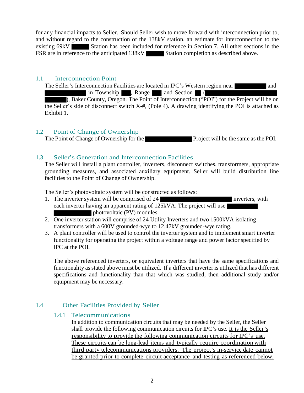for any financial impacts to Seller. Should Seller wish to move forward with interconnection prior to, and without regard to the construction of the 138kV station, an estimate for interconnection to the existing 69kV Station has been included for reference in Section 7. All other sections in the FSR are in reference to the anticipated 138kV Station completion as described above.

#### 1.1 Interconnection Point

The Seller's Interconnection Facilities are located in IPC's Western region near and and in Township , Range and Section (

), Baker County, Oregon. The Point of Interconnection ("POI") for the Project will be on the Seller's side of disconnect switch X-#, (Pole 4). A drawing identifying the POI is attached as Exhibit 1.

## 1.2 Point of Change of Ownership

The Point of Change of Ownership for the Project will be the same as the POI.

## 1.3 Seller's Generation and Interconnection Facilities

The Seller will install a plant controller, inverters, disconnect switches, transformers, appropriate grounding measures, and associated auxiliary equipment. Seller will build distribution line facilities to the Point of Change of Ownership.

The Seller's photovoltaic system will be constructed as follows:

- 1. The inverter system will be comprised of 24 each inverter having an apparent rating of 125kVA. The project will use photovoltaic (PV) modules.
- 2. One inverter station will comprise of 24 Utility Inverters and two 1500kVA isolating transformers with a 600V grounded-wye to 12.47kV grounded-wye rating.
- 3. A plant controller will be used to control the inverter system and to implement smart inverter functionality for operating the project within a voltage range and power factor specified by IPC at the POI.

The above referenced inverters, or equivalent inverters that have the same specifications and functionality as stated above must be utilized. If a different inverter is utilized that has different specifications and functionality than that which was studied, then additional study and/or equipment may be necessary.

## 1.4 Other Facilities Provided by Seller

#### 1.4.1 Telecommunications

In addition to communication circuits that may be needed by the Seller, the Seller shall provide the following communication circuits for IPC's use. It is the Seller's responsibility to provide the following communication circuits for IPC's use. These circuits can be long-lead items and typically require coordination with third party telecommunications providers. The project's in-service date cannot be granted prior to complete circuit acceptance and testing as referenced below.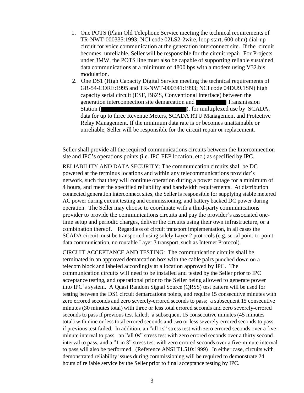- 1. One POTS (Plain Old Telephone Service meeting the technical requirements of TR-NWT-000335:1993; NCI code 02LS2-2wire, loop start, 600 ohm) dial-up circuit for voice communication at the generation interconnect site. If the circuit becomes unreliable, Seller will be responsible for the circuit repair. For Projects under 3MW, the POTS line must also be capable of supporting reliable sustained data communications at a minimum of 4800 bps with a modem using V32.bis modulation.
- 2. One DS1 (High Capacity Digital Service meeting the technical requirements of GR-54-CORE:1995 and TR-NWT-000341:1993; NCI code 04DU9.1SN) high capacity serial circuit (ESF, B8ZS, Conventional Interface) between the generation interconnection site demarcation and Transmission Station ( ), for multiplexed use by SCADA, data for up to three Revenue Meters, SCADA RTU Management and Protective Relay Management. If the minimum data rate is or becomes unattainable or unreliable, Seller will be responsible for the circuit repair or replacement.

Seller shall provide all the required communications circuits between the Interconnection site and IPC's operations points (i.e. IPC FEP location, etc.) as specified by IPC.

RELIABILITY AND DATA SECURITY: The communication circuits shall be DC powered at the terminus locations and within any telecommunications provider's network, such that they will continue operation during a power outage for a minimum of 4 hours, and meet the specified reliability and bandwidth requirements. At distribution connected generation interconnect sites, the Seller is responsible for supplying stable metered AC power during circuit testing and commissioning, and battery backed DC power during operation. The Seller may choose to coordinate with a third-party communications provider to provide the communications circuits and pay the provider's associated onetime setup and periodic charges, deliver the circuits using their own infrastructure, or a combination thereof. Regardless of circuit transport implementation, in all cases the SCADA circuit must be transported using solely Layer 2 protocols (e.g. serial point-to-point data communication, no routable Layer 3 transport, such as Internet Protocol).

CIRCUIT ACCEPTANCE AND TESTING: The communication circuits shall be terminated in an approved demarcation box with the cable pairs punched down on a telecom block and labeled accordingly at a location approved by IPC. The communication circuits will need to be installed and tested by the Seller prior to IPC acceptance testing, and operational prior to the Seller being allowed to generate power into IPC's system. A Quasi Random Signal Source (QRSS) test pattern will be used for testing between the DS1 circuit demarcations points, and require 15 consecutive minutes with zero errored seconds and zero severely-errored seconds to pass; a subsequent 15 consecutive minutes (30 minutes total) with three or less total errored seconds and zero severely-errored seconds to pass if previous test failed; a subsequent 15 consecutive minutes (45 minutes total) with nine or less total errored seconds and two or less severely-errored seconds to pass if previous test failed. In addition, an "all 1s" stress test with zero errored seconds over a fiveminute interval to pass, an "all 0s" stress test with zero errored seconds over a thirty second interval to pass, and a "1 in 8" stress test with zero errored seconds over a five-minute interval to pass will also be performed. (Reference ANSI T1.510:1999) In either case, circuits with demonstrated reliability issues during commissioning will be required to demonstrate 24 hours of reliable service by the Seller prior to final acceptance testing by IPC.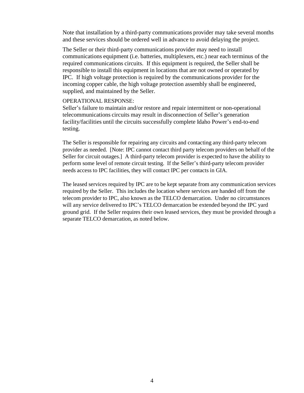Note that installation by a third-party communications provider may take several months and these services should be ordered well in advance to avoid delaying the project.

The Seller or their third-party communications provider may need to install communications equipment (i.e. batteries, multiplexers, etc.) near each terminus of the required communications circuits. If this equipment is required, the Seller shall be responsible to install this equipment in locations that are not owned or operated by IPC. If high voltage protection is required by the communications provider for the incoming copper cable, the high voltage protection assembly shall be engineered, supplied, and maintained by the Seller.

#### OPERATIONAL RESPONSE:

Seller's failure to maintain and/or restore and repair intermittent or non-operational telecommunications circuits may result in disconnection of Seller's generation facility/facilities until the circuits successfully complete Idaho Power's end-to-end testing.

The Seller is responsible for repairing any circuits and contacting any third-party telecom provider as needed. [Note: IPC cannot contact third party telecom providers on behalf of the Seller for circuit outages.] A third-party telecom provider is expected to have the ability to perform some level of remote circuit testing. If the Seller's third-party telecom provider needs access to IPC facilities, they will contact IPC per contacts in GIA.

The leased services required by IPC are to be kept separate from any communication services required by the Seller. This includes the location where services are handed off from the telecom provider to IPC, also known as the TELCO demarcation. Under no circumstances will any service delivered to IPC's TELCO demarcation be extended beyond the IPC yard ground grid. If the Seller requires their own leased services, they must be provided through a separate TELCO demarcation, as noted below.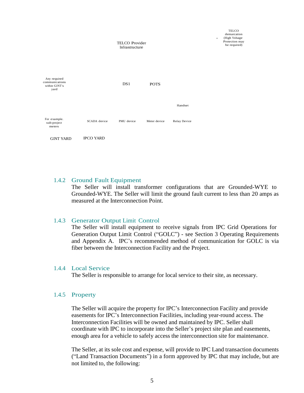

#### 1.4.2 Ground Fault Equipment

The Seller will install transformer configurations that are Grounded-WYE to Grounded-WYE. The Seller will limit the ground fault current to less than 20 amps as measured at the Interconnection Point.

#### 1.4.3 Generator Output Limit Control

The Seller will install equipment to receive signals from IPC Grid Operations for Generation Output Limit Control ("GOLC") - see Section 3 Operating Requirements and Appendix A. IPC's recommended method of communication for GOLC is via fiber between the Interconnection Facility and the Project.

#### 1.4.4 Local Service

The Seller is responsible to arrange for local service to their site, as necessary.

#### 1.4.5 Property

The Seller will acquire the property for IPC's Interconnection Facility and provide easements for IPC's Interconnection Facilities, including year-round access. The Interconnection Facilities will be owned and maintained by IPC. Seller shall coordinate with IPC to incorporate into the Seller's project site plan and easements, enough area for a vehicle to safely access the interconnection site for maintenance.

The Seller, at its sole cost and expense, will provide to IPC Land transaction documents ("Land Transaction Documents") in a form approved by IPC that may include, but are not limited to, the following: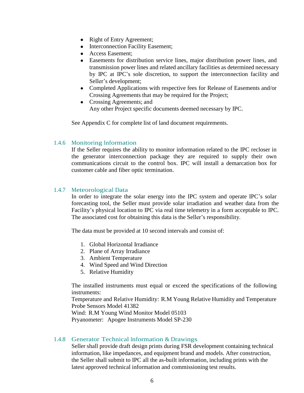- Right of Entry Agreement;
- Interconnection Facility Easement;
- Access Easement:
- Easements for distribution service lines, major distribution power lines, and transmission power lines and related ancillary facilities as determined necessary by IPC at IPC's sole discretion, to support the interconnection facility and Seller's development;
- Completed Applications with respective fees for Release of Easements and/or Crossing Agreements that may be required for the Project;
- Crossing Agreements; and Any other Project specific documents deemed necessary by IPC.

See Appendix C for complete list of land document requirements.

#### 1.4.6 Monitoring Information

If the Seller requires the ability to monitor information related to the IPC recloser in the generator interconnection package they are required to supply their own communications circuit to the control box. IPC will install a demarcation box for customer cable and fiber optic termination.

#### 1.4.7 Meteorological Data

In order to integrate the solar energy into the IPC system and operate IPC's solar forecasting tool, the Seller must provide solar irradiation and weather data from the Facility's physical location to IPC via real time telemetry in a form acceptable to IPC. The associated cost for obtaining this data is the Seller's responsibility.

The data must be provided at 10 second intervals and consist of:

- 1. Global Horizontal Irradiance
- 2. Plane of Array Irradiance
- 3. Ambient Temperature
- 4. Wind Speed and Wind Direction
- 5. Relative Humidity

The installed instruments must equal or exceed the specifications of the following instruments:

Temperature and Relative Humidity: R.M Young Relative Humidity and Temperature Probe Sensors Model 41382

Wind: R.M Young Wind Monitor Model 05103

Pryanometer: Apogee Instruments Model SP-230

#### 1.4.8 Generator Technical Information & Drawings

Seller shall provide draft design prints during FSR development containing technical information, like impedances, and equipment brand and models. After construction, the Seller shall submit to IPC all the as-built information, including prints with the latest approved technical information and commissioning test results.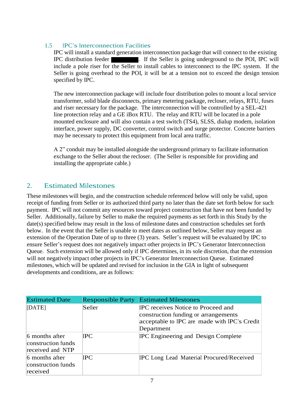## 1.5 IPC's Interconnection Facilities

IPC will install a standard generation interconnection package that will connect to the existing IPC distribution feeder . If the Seller is going underground to the POI, IPC will include a pole riser for the Seller to install cables to interconnect to the IPC system. If the Seller is going overhead to the POI, it will be at a tension not to exceed the design tension specified by IPC.

The new interconnection package will include four distribution poles to mount a local service transformer, solid blade disconnects, primary metering package, recloser, relays, RTU, fuses and riser necessary for the package. The interconnection will be controlled by a SEL-421 line protection relay and a GE iBox RTU. The relay and RTU will be located in a pole mounted enclosure and will also contain a test switch (TS4), SLSS, dialup modem, isolation interface, power supply, DC converter, control switch and surge protector. Concrete barriers may be necessary to protect this equipment from local area traffic.

A 2" conduit may be installed alongside the underground primary to facilitate information exchange to the Seller about the recloser. (The Seller is responsible for providing and installing the appropriate cable.)

## 2. Estimated Milestones

These milestones will begin, and the construction schedule referenced below will only be valid, upon receipt of funding from Seller or its authorized third party no later than the date set forth below for such payment. IPC will not commit any resources toward project construction that have not been funded by Seller. Additionally, failure by Seller to make the required payments as set forth in this Study by the date(s) specified below may result in the loss of milestone dates and construction schedules set forth below. In the event that the Seller is unable to meet dates as outlined below, Seller may request an extension of the Operation Date of up to three (3) years. Seller's request will be evaluated by IPC to ensure Seller's request does not negatively impact other projects in IPC's Generator Interconnection Queue. Such extension will be allowed only if IPC determines, in its sole discretion, that the extension will not negatively impact other projects in IPC's Generator Interconnection Queue. Estimated milestones, which will be updated and revised for inclusion in the GIA in light of subsequent developments and conditions, are as follows:

| <b>Estimated Date</b>                                    | <b>Responsible Party</b> | <b>Estimated Milestones</b>                                                                                                              |
|----------------------------------------------------------|--------------------------|------------------------------------------------------------------------------------------------------------------------------------------|
| [DATE]                                                   | Seller                   | IPC receives Notice to Proceed and<br>construction funding or arrangements<br>acceptable to IPC are made with IPC's Credit<br>Department |
| 6 months after<br>construction funds<br>received and NTP | IPC.                     | <b>IPC</b> Engineering and Design Complete                                                                                               |
| 6 months after<br>construction funds<br>received         | IPC.                     | <b>IPC Long Lead Material Procured/Received</b>                                                                                          |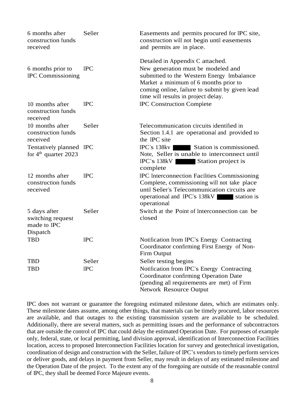| 6 months after<br>construction funds<br>received             | Seller     | Easements and permits procured for IPC site,<br>construction will not begin until easements<br>and permits are in place.                                                                                                                              |  |  |  |
|--------------------------------------------------------------|------------|-------------------------------------------------------------------------------------------------------------------------------------------------------------------------------------------------------------------------------------------------------|--|--|--|
| 6 months prior to<br><b>IPC</b> Commissioning                | <b>IPC</b> | Detailed in Appendix C attached.<br>New generation must be modeled and<br>submitted to the Western Energy Imbalance<br>Market a minimum of 6 months prior to<br>coming online, failure to submit by given lead<br>time will results in project delay. |  |  |  |
| 10 months after<br>construction funds<br>received            | <b>IPC</b> | <b>IPC Construction Complete</b>                                                                                                                                                                                                                      |  |  |  |
| 10 months after<br>construction funds<br>received            | Seller     | Telecommunication circuits identified in<br>Section 1.4.1 are operational and provided to<br>the IPC site                                                                                                                                             |  |  |  |
| Tentatively planned IPC<br>for $4th$ quarter 2023            |            | <b>IPC's 138kv</b><br>Station is commissioned.<br>Note, Seller is unable to interconnect until<br><b>IPC's 138kV</b><br>Station project is<br>complete                                                                                                |  |  |  |
| 12 months after<br>construction funds<br>received            | <b>IPC</b> | <b>IPC</b> Interconnection Facilities Commissioning<br>Complete, commissioning will not take place<br>until Seller's Telecommunication circuits are<br>operational and IPC's 138kV station is<br>operational                                          |  |  |  |
| 5 days after<br>switching request<br>made to IPC<br>Dispatch | Seller     | Switch at the Point of Interconnection can be<br>closed                                                                                                                                                                                               |  |  |  |
| <b>TBD</b>                                                   | <b>IPC</b> | Notification from IPC's Energy Contracting<br>Coordinator confirming First Energy of Non-<br>Firm Output                                                                                                                                              |  |  |  |
| <b>TBD</b>                                                   | Seller     | Seller testing begins                                                                                                                                                                                                                                 |  |  |  |
| TBD                                                          | <b>IPC</b> | Notification from IPC's Energy Contracting<br>Coordinator confirming Operation Date<br>(pending all requirements are met) of Firm<br>Network Resource Output                                                                                          |  |  |  |

IPC does not warrant or guarantee the foregoing estimated milestone dates, which are estimates only. These milestone dates assume, among other things, that materials can be timely procured, labor resources are available, and that outages to the existing transmission system are available to be scheduled. Additionally, there are several matters, such as permitting issues and the performance of subcontractors that are outside the control of IPC that could delay the estimated Operation Date. For purposes of example only, federal, state, or local permitting, land division approval, identification of Interconnection Facilities location, access to proposed Interconnection Facilities location for survey and geotechnical investigation, coordination of design and construction with the Seller, failure of IPC's vendors to timely perform services or deliver goods, and delays in payment from Seller, may result in delays of any estimated milestone and the Operation Date of the project. To the extent any of the foregoing are outside of the reasonable control of IPC, they shall be deemed Force Majeure events.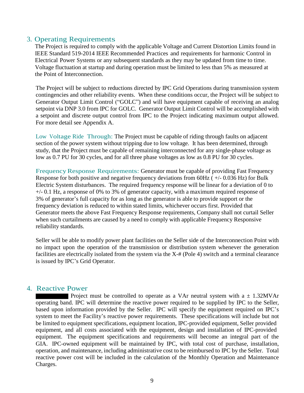## 3. Operating Requirements

The Project is required to comply with the applicable Voltage and Current Distortion Limits found in IEEE Standard 519-2014 IEEE Recommended Practices and requirements for harmonic Control in Electrical Power Systems or any subsequent standards as they may be updated from time to time. Voltage fluctuation at startup and during operation must be limited to less than 5% as measured at the Point of Interconnection.

The Project will be subject to reductions directed by IPC Grid Operations during transmission system contingencies and other reliability events. When these conditions occur, the Project will be subject to Generator Output Limit Control ("GOLC") and will have equipment capable of receiving an analog setpoint via DNP 3.0 from IPC for GOLC. Generator Output Limit Control will be accomplished with a setpoint and discrete output control from IPC to the Project indicating maximum output allowed. For more detail see Appendix A.

Low Voltage Ride Through: The Project must be capable of riding through faults on adjacent section of the power system without tripping due to low voltage. It has been determined, through study, that the Project must be capable of remaining interconnected for any single-phase voltage as low as 0.7 PU for 30 cycles, and for all three phase voltages as low as 0.8 PU for 30 cycles.

FrequencyResponse Requirements: Generator must be capable of providing Fast Frequency Response for both positive and negative frequency deviations from  $60Hz$  ( $+/-0.036 Hz$ ) for Bulk Electric System disturbances. The required frequency response will be linear for a deviation of 0 to +/- 0.1 Hz, a response of 0% to 3% of generator capacity, with a maximum required response of 3% of generator's full capacity for as long as the generator is able to provide support or the frequency deviation is reduced to within stated limits, whichever occurs first. Provided that Generator meets the above Fast Frequency Response requirements, Company shall not curtail Seller when such curtailments are caused by a need to comply with applicable Frequency Responsive reliability standards.

Seller will be able to modify power plant facilities on the Seller side of the Interconnection Point with no impact upon the operation of the transmission or distribution system whenever the generation facilities are electrically isolated from the system via the X-# (Pole 4) switch and a terminal clearance is issued by IPC's Grid Operator.

## 4. Reactive Power

Project must be controlled to operate as a VAr neutral system with  $a \pm 1.32$ MVAr operating band. IPC will determine the reactive power required to be supplied by IPC to the Seller, based upon information provided by the Seller. IPC will specify the equipment required on IPC's system to meet the Facility's reactive power requirements. These specifications will include but not be limited to equipment specifications, equipment location, IPC-provided equipment, Seller provided equipment, and all costs associated with the equipment, design and installation of IPC-provided equipment. The equipment specifications and requirements will become an integral part of the GIA. IPC-owned equipment will be maintained by IPC, with total cost of purchase, installation, operation, and maintenance, including administrative cost to be reimbursed to IPC by the Seller. Total reactive power cost will be included in the calculation of the Monthly Operation and Maintenance Charges.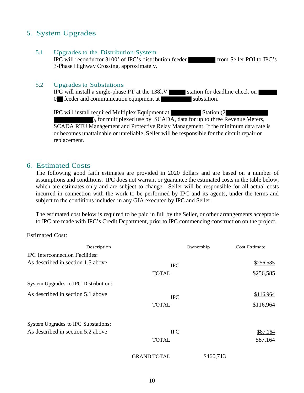## 5. System Upgrades

5.1 Upgrades to the Distribution System

IPC will reconductor 3100' of IPC's distribution feeder from Seller POI to IPC's 3-Phase Highway Crossing, approximately.

#### 5.2 Upgrades to Substations

IPC will install a single-phase PT at the 138kV station for deadline check on  $0$  feeder and communication equipment at substation.

IPC will install required Multiplex Equipment at Station (2

), for multiplexed use by SCADA, data for up to three Revenue Meters, SCADA RTU Management and Protective Relay Management. If the minimum data rate is or becomes unattainable or unreliable, Seller will be responsible for the circuit repair or replacement.

## 6. Estimated Costs

The following good faith estimates are provided in 2020 dollars and are based on a number of assumptions and conditions. IPC does not warrant or guarantee the estimated costs in the table below, which are estimates only and are subject to change. Seller will be responsible for all actual costs incurred in connection with the work to be performed by IPC and its agents, under the terms and subject to the conditions included in any GIA executed by IPC and Seller.

The estimated cost below is required to be paid in full by the Seller, or other arrangements acceptable to IPC are made with IPC's Credit Department, prior to IPC commencing construction on the project.

#### Estimated Cost:

| Description                                                                 |                            | Ownership | Cost Estimate          |
|-----------------------------------------------------------------------------|----------------------------|-----------|------------------------|
| <b>IPC</b> Interconnection Facilities:<br>As described in section 1.5 above | <b>IPC</b><br><b>TOTAL</b> |           | \$256,585<br>\$256,585 |
| System Upgrades to IPC Distribution:                                        |                            |           |                        |
| As described in section 5.1 above                                           | <b>IPC</b><br><b>TOTAL</b> |           | \$116,964<br>\$116,964 |
| System Upgrades to IPC Substations:                                         |                            |           |                        |
| As described in section 5.2 above                                           | <b>IPC</b>                 |           | \$87,164               |
|                                                                             | <b>TOTAL</b>               |           | \$87,164               |
|                                                                             | <b>GRAND TOTAL</b>         | \$460,713 |                        |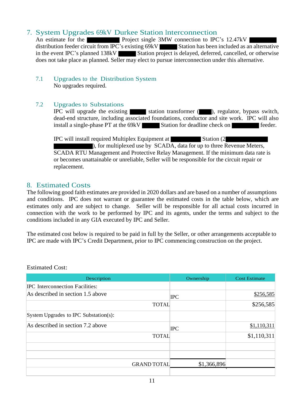## 7. System Upgrades 69kV Durkee Station Interconnection

An estimate for the **Project** single 3MW connection to IPC's 12.47kV distribution feeder circuit from IPC's existing 69kV Station has been included as an alternative in the event IPC's planned 138kV Station project is delayed, deferred, cancelled, or otherwise does not take place as planned. Seller may elect to pursue interconnection under this alternative.

#### 7.1 Upgrades to the Distribution System No upgrades required.

## 7.2 Upgrades to Substations

IPC will upgrade the existing station transformer  $($ , regulator, bypass switch, dead-end structure, including associated foundations, conductor and site work. IPC will also install a single-phase PT at the 69kV Station for deadline check on feeder.

IPC will install required Multiplex Equipment at Station (2 ), for multiplexed use by SCADA, data for up to three Revenue Meters, SCADA RTU Management and Protective Relay Management. If the minimum data rate is or becomes unattainable or unreliable, Seller will be responsible for the circuit repair or replacement.

## 8. Estimated Costs

The following good faith estimates are provided in 2020 dollars and are based on a number of assumptions and conditions. IPC does not warrant or guarantee the estimated costs in the table below, which are estimates only and are subject to change. Seller will be responsible for all actual costs incurred in connection with the work to be performed by IPC and its agents, under the terms and subject to the conditions included in any GIA executed by IPC and Seller.

The estimated cost below is required to be paid in full by the Seller, or other arrangements acceptable to IPC are made with IPC's Credit Department, prior to IPC commencing construction on the project.

| Description                            |                    | Ownership   | <b>Cost Estimate</b> |
|----------------------------------------|--------------------|-------------|----------------------|
| <b>IPC</b> Interconnection Facilities: |                    |             |                      |
| As described in section 1.5 above      |                    | <b>IPC</b>  | \$256,585            |
|                                        | <b>TOTAL</b>       |             | \$256,585            |
| System Upgrades to IPC Substation(s):  |                    |             |                      |
| As described in section 7.2 above      |                    | <b>IPC</b>  | \$1,110,311          |
|                                        | <b>TOTAL</b>       |             | \$1,110,311          |
|                                        |                    |             |                      |
|                                        |                    |             |                      |
|                                        | <b>GRAND TOTAL</b> | \$1,366,896 |                      |
|                                        |                    |             |                      |

Estimated Cost: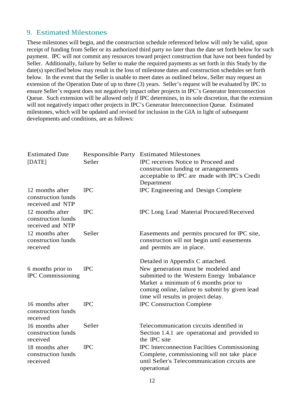## 9. Estimated Milestones

These milestones will begin, and the construction schedule referenced below will only be valid, upon receipt of funding from Seller or its authorized third party no later than the date set forth below for such payment. IPC will not commit any resources toward project construction that have not been funded by Seller. Additionally, failure by Seller to make the required payments as set forth in this Study by the date(s) specified below may result in the loss of milestone dates and construction schedules set forth below. In the event that the Seller is unable to meet dates as outlined below, Seller may request an extension of the Operation Date of up to three (3) years. Seller's request will be evaluated by IPC to ensure Seller's request does not negatively impact other projects in IPC's Generator Interconnection Queue. Such extension will be allowed only if IPC determines, in its sole discretion, that the extension will not negatively impact other projects in IPC's Generator Interconnection Queue. Estimated milestones, which will be updated and revised for inclusion in the GIA in light of subsequent developments and conditions, are as follows:

| <b>Estimated Date</b><br>[DATE]                           | <b>Responsible Party</b><br>Seller | <b>Estimated Milestones</b><br>IPC receives Notice to Proceed and<br>construction funding or arrangements<br>acceptable to IPC are made with IPC's Credit<br>Department                                                                               |
|-----------------------------------------------------------|------------------------------------|-------------------------------------------------------------------------------------------------------------------------------------------------------------------------------------------------------------------------------------------------------|
| 12 months after<br>construction funds<br>received and NTP | <b>IPC</b>                         | IPC Engineering and Design Complete                                                                                                                                                                                                                   |
| 12 months after<br>construction funds<br>received and NTP | <b>IPC</b>                         | IPC Long Lead Material Procured/Received                                                                                                                                                                                                              |
| 12 months after<br>construction funds<br>received         | Seller                             | Easements and permits procured for IPC site,<br>construction will not begin until easements<br>and permits are in place.                                                                                                                              |
| 6 months prior to<br><b>IPC</b> Commissioning             | <b>IPC</b>                         | Detailed in Appendix C attached.<br>New generation must be modeled and<br>submitted to the Western Energy Imbalance<br>Market a minimum of 6 months prior to<br>coming online, failure to submit by given lead<br>time will results in project delay. |
| 16 months after<br>construction funds<br>received         | <b>IPC</b>                         | <b>IPC Construction Complete</b>                                                                                                                                                                                                                      |
| 16 months after<br>construction funds<br>received         | Seller                             | Telecommunication circuits identified in<br>Section 1.4.1 are operational and provided to<br>the IPC site                                                                                                                                             |
| 18 months after<br>construction funds<br>received         | <b>IPC</b>                         | <b>IPC</b> Interconnection Facilities Commissioning<br>Complete, commissioning will not take place<br>until Seller's Telecommunication circuits are<br>operational                                                                                    |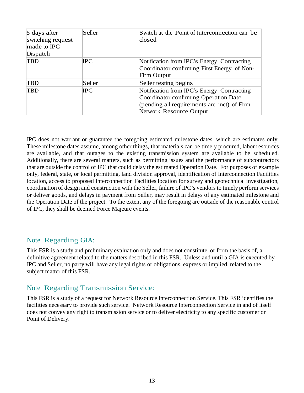| 5 days after<br>switching request<br>made to IPC<br>Dispatch | Seller | Switch at the Point of Interconnection can be<br>closed                                                                                                      |
|--------------------------------------------------------------|--------|--------------------------------------------------------------------------------------------------------------------------------------------------------------|
| <b>TBD</b>                                                   | IPC    | Notification from IPC's Energy Contracting<br>Coordinator confirming First Energy of Non-<br>Firm Output                                                     |
| <b>TBD</b>                                                   | Seller | Seller testing begins                                                                                                                                        |
| <b>TBD</b>                                                   | IPC    | Notification from IPC's Energy Contracting<br>Coordinator confirming Operation Date<br>(pending all requirements are met) of Firm<br>Network Resource Output |

IPC does not warrant or guarantee the foregoing estimated milestone dates, which are estimates only. These milestone dates assume, among other things, that materials can be timely procured, labor resources are available, and that outages to the existing transmission system are available to be scheduled. Additionally, there are several matters, such as permitting issues and the performance of subcontractors that are outside the control of IPC that could delay the estimated Operation Date. For purposes of example only, federal, state, or local permitting, land division approval, identification of Interconnection Facilities location, access to proposed Interconnection Facilities location for survey and geotechnical investigation, coordination of design and construction with the Seller, failure of IPC's vendors to timely perform services or deliver goods, and delays in payment from Seller, may result in delays of any estimated milestone and the Operation Date of the project. To the extent any of the foregoing are outside of the reasonable control of IPC, they shall be deemed Force Majeure events.

## Note Regarding GIA:

This FSR is a study and preliminary evaluation only and does not constitute, or form the basis of, a definitive agreement related to the matters described in this FSR. Unless and until a GIA is executed by IPC and Seller, no party will have any legal rights or obligations, express or implied, related to the subject matter of this FSR.

## Note Regarding Transmission Service:

This FSR is a study of a request for Network Resource Interconnection Service. This FSR identifies the facilities necessary to provide such service. Network Resource Interconnection Service in and of itself does not convey any right to transmission service or to deliver electricity to any specific customer or Point of Delivery.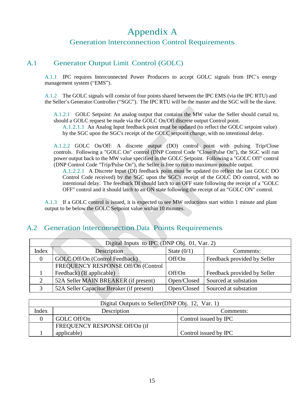## Appendix A

## Generation Interconnection Control Requirements

## A.1 Generator Output Limit Control (GOLC)

A.1.1 IPC requires Interconnected Power Producers to accept GOLC signals from IPC's energy management system ("EMS").

A.1.2 The GOLC signals will consist of four points shared between the IPC EMS (via the IPC RTU) and the Seller's Generator Controller ("SGC"). The IPC RTU will be the master and the SGC will be the slave.

A.1.2.1 GOLC Setpoint: An analog output that contains the MW value the Seller should curtail to, should a GOLC request be made via the GOLC On/Off discrete output Control point.

A.1.2.1.1 An Analog Input feedback point must be updated (to reflect the GOLC setpoint value) by the SGC upon the SGC's receipt of the GOLC setpoint change, with no intentional delay.

A.1.2.2 GOLC On/Off: A discrete output (DO) control point with pulsing Trip/Close controls. Following a "GOLC On" control (DNP Control Code "Close/Pulse On"), the SGC will run power output back to the MW value specified in the GOLC Setpoint. Following a "GOLC Off" control (DNP Control Code "Trip/Pulse On"), the Seller is free to run to maximum possible output.

A.1.2.2.1 A Discrete Input (DI) feedback point must be updated (to reflect the last GOLC DO Control Code received) by the SGC upon the SGC's receipt of the GOLC DO control, with no intentional delay. The feedback DI should latch to an OFF state following the receipt of a "GOLC OFF" control and it should latch to an ON state following the receipt of an "GOLC ON" control.

A.1.3 If a GOLC control is issued, it is expected to see MW reductions start within 1 minute and plant output to be below the GOLC Setpoint value within 10 minutes.

## A.2 Generation Interconnection Data Points Requirements

|       | Digital Inputs to IPC (DNP Obj. 01, Var. 2) |               |                             |  |  |  |  |
|-------|---------------------------------------------|---------------|-----------------------------|--|--|--|--|
| Index | Description                                 | State $(0/1)$ | Comments:                   |  |  |  |  |
| 0     | <b>GOLC Off/On (Control Feedback)</b>       | Off/On        | Feedback provided by Seller |  |  |  |  |
|       | FREQUENCY RESPONSE Off/On (Control          |               |                             |  |  |  |  |
|       | Feedback) (If applicable)                   | Off/On        | Feedback provided by Seller |  |  |  |  |
|       | 52A Seller MAIN BREAKER (if present)        | Open/Closed   | Sourced at substation       |  |  |  |  |
|       | 52A Seller Capacitor Breaker (if present)   | Open/Closed   | Sourced at substation       |  |  |  |  |

|       | Digital Outputs to Seller (DNP Obj. 12, Var. 1) |                       |  |  |  |  |
|-------|-------------------------------------------------|-----------------------|--|--|--|--|
| Index | Description<br>Comments:                        |                       |  |  |  |  |
|       | GOLC Off/On<br>Control issued by IPC            |                       |  |  |  |  |
|       | FREQUENCY RESPONSE Off/On (if                   |                       |  |  |  |  |
|       | applicable)                                     | Control issued by IPC |  |  |  |  |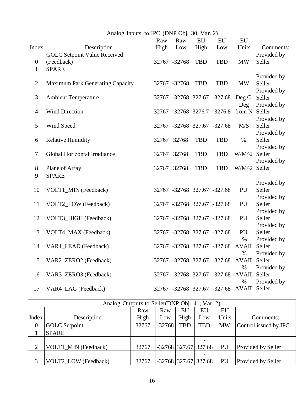| Analog Inputs to IPC (DNP Obj. 30, Var. 2) |  |  |  |  |
|--------------------------------------------|--|--|--|--|
|--------------------------------------------|--|--|--|--|

|                  |                                         | Raw   | Raw          | ${\rm EU}$ | ${\rm EU}$                  | ${\rm EU}$                               |             |
|------------------|-----------------------------------------|-------|--------------|------------|-----------------------------|------------------------------------------|-------------|
| Index            | Description                             | High  | Low          | High       | Low                         | Units                                    | Comments:   |
|                  | <b>GOLC Setpoint Value Received</b>     |       |              |            |                             |                                          | Provided by |
| $\boldsymbol{0}$ | (Feedback)                              |       | 32767 -32768 | <b>TBD</b> | <b>TBD</b>                  | MW                                       | Seller      |
| $\mathbf{1}$     | <b>SPARE</b>                            |       |              |            |                             |                                          |             |
|                  |                                         |       |              |            |                             |                                          | Provided by |
| $\mathbf{2}$     | <b>Maximum Park Generating Capacity</b> |       | 32767 -32768 | <b>TBD</b> | <b>TBD</b>                  | <b>MW</b>                                | Seller      |
|                  |                                         |       |              |            |                             |                                          | Provided by |
| 3                | <b>Ambient Temperature</b>              |       |              |            | 32767 -32768 327.67 -327.68 | Deg C                                    | Seller      |
|                  |                                         |       |              |            |                             | Deg                                      | Provided by |
| $\overline{4}$   | <b>Wind Direction</b>                   |       |              |            | 32767 -32768 3276.7 -3276.8 | from N Seller                            |             |
|                  |                                         |       |              |            |                             |                                          | Provided by |
| 5                | Wind Speed                              |       |              |            | 32767 -32768 327.67 -327.68 | M/S                                      | Seller      |
|                  |                                         |       |              |            |                             |                                          | Provided by |
| 6                | <b>Relative Humidity</b>                | 32767 | 32768        | <b>TBD</b> | <b>TBD</b>                  | $\%$                                     | Seller      |
|                  | Global Horizontal Irradiance            | 32767 | 32768        | <b>TBD</b> | <b>TBD</b>                  | W/M^2 Seller                             | Provided by |
| $\boldsymbol{7}$ |                                         |       |              |            |                             |                                          | Provided by |
| $8\,$            | Plane of Array                          | 32767 | 32768        | <b>TBD</b> | <b>TBD</b>                  | W/M^2 Seller                             |             |
| 9                | <b>SPARE</b>                            |       |              |            |                             |                                          |             |
|                  |                                         |       |              |            |                             |                                          | Provided by |
| 10               | VOLT1_MIN (Feedback)                    |       |              |            | 32767 -32768 327.67 -327.68 | PU                                       | Seller      |
|                  |                                         |       |              |            |                             |                                          | Provided by |
| 11               | VOLT2_LOW (Feedback)                    |       |              |            | 32767 -32768 327.67 -327.68 | PU                                       | Seller      |
|                  |                                         |       |              |            |                             |                                          | Provided by |
| 12               | VOLT3_HIGH (Feedback)                   |       |              |            | 32767 -32768 327.67 -327.68 | PU                                       | Seller      |
|                  |                                         |       |              |            |                             |                                          | Provided by |
| 13               | VOLT4_MAX (Feedback)                    |       |              |            | 32767 -32768 327.67 -327.68 | PU                                       | Seller      |
|                  |                                         |       |              |            |                             | $\%$                                     | Provided by |
| 14               | VAR1_LEAD (Feedback)                    |       |              |            | 32767 -32768 327.67 -327.68 | <b>AVAIL Seller</b>                      |             |
|                  |                                         |       |              |            |                             | $\%$                                     | Provided by |
| 15               | VAR2_ZERO2 (Feedback)                   |       |              |            | 32767 -32768 327.67 -327.68 | <b>AVAIL Seller</b>                      |             |
|                  |                                         |       |              |            |                             | $\%$                                     | Provided by |
| 16               | VAR3_ZERO3 (Feedback)                   |       |              |            | 32767 -32768 327.67 -327.68 | <b>AVAIL Seller</b>                      |             |
|                  |                                         |       |              |            |                             | $\%$                                     | Provided by |
| 17               | VAR4_LAG (Feedback)                     |       |              |            |                             | 32767 -32768 327.67 -327.68 AVAIL Seller |             |

|                | Analog Outputs to Seller(DNP Obj. 41, Var. 2) |       |                        |            |                        |           |                           |
|----------------|-----------------------------------------------|-------|------------------------|------------|------------------------|-----------|---------------------------|
|                |                                               | Raw   | Raw                    | EU         | EU                     | EU        |                           |
| Index          | Description                                   | High  | Low                    | High       | Low                    | Units     | Comments:                 |
| $\theta$       | <b>GOLC</b> Setpoint                          | 32767 | $-32768$               | <b>TBD</b> | <b>TBD</b>             | <b>MW</b> | Control issued by IPC     |
|                | <b>SPARE</b>                                  |       |                        |            |                        |           |                           |
|                |                                               |       |                        |            | -                      |           |                           |
| $\overline{2}$ | VOLT1 MIN (Feedback)                          | 32767 | $-32768$ 327.67 327.68 |            |                        | PU        | <b>Provided by Seller</b> |
|                |                                               |       |                        |            | -                      |           |                           |
| 3              | <b>VOLT2 LOW (Feedback)</b>                   | 32767 |                        |            | $-32768$ 327.67 327.68 | PU        | <b>Provided by Seller</b> |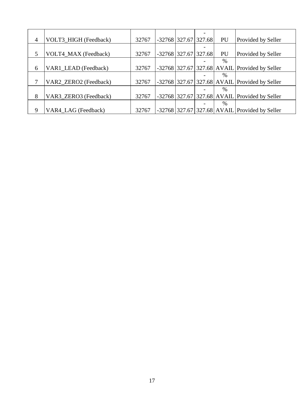| 4 | VOLT3_HIGH (Feedback) | 32767 |  | $-32768$ 327.67 327.68 | PU   | Provided by Seller                              |
|---|-----------------------|-------|--|------------------------|------|-------------------------------------------------|
|   |                       |       |  |                        |      |                                                 |
| 5 | VOLT4_MAX (Feedback)  | 32767 |  | $-32768$ 327.67 327.68 | PU   | Provided by Seller                              |
|   |                       |       |  |                        | $\%$ |                                                 |
| 6 | VAR1_LEAD (Feedback)  | 32767 |  |                        |      | $-32768$ 327.67 327.68 AVAIL Provided by Seller |
|   |                       |       |  |                        | %    |                                                 |
| 7 | VAR2_ZERO2 (Feedback) | 32767 |  |                        |      | $-32768$ 327.67 327.68 AVAIL Provided by Seller |
|   |                       |       |  |                        | $\%$ |                                                 |
| 8 | VAR3_ZERO3 (Feedback) | 32767 |  |                        |      | $-32768$ 327.67 327.68 AVAIL Provided by Seller |
|   |                       |       |  |                        | %    |                                                 |
| 9 | VAR4 LAG (Feedback)   | 32767 |  |                        |      | $-32768$ 327.67 327.68 AVAIL Provided by Seller |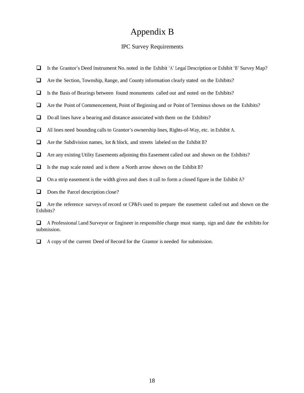## Appendix B

## IPC Survey Requirements

- $\Box$  Is the Grantor's Deed Instrument No. noted in the Exhibit 'A' Legal Description or Exhibit 'B' Survey Map?
- Are the Section, Township, Range, and County information clearly stated on the Exhibits?
- $\Box$ Is the Basis of Bearings between found monuments called out and noted on the Exhibits?
- Are the Point of Commencement, Point of Beginning and or Point of Terminus shown on the Exhibits?
- $\Box$ Do all lines have a bearing and distance associated with them on the Exhibits?
- All lines need bounding calls to Grantor's ownership lines, Rights-of-Way, etc. in Exhibit A.
- $\Box$  Are the Subdivision names, lot & block, and streets labeled on the Exhibit B?
- $\Box$ Are any existing Utility Easements adjoining this Easement called out and shown on the Exhibits?
- $\Box$ Is the map scale noted and is there a North arrow shown on the Exhibit B?
- $\Box$ On a strip easement is the width given and does it call to form a closed figure in the Exhibit A?

 $\Box$  Does the Parcel description close?

Are the reference surveys of record or CP&Fs used to prepare the easement called out and shown on the Exhibits?

<sup>A</sup> Professional Land Surveyor or Engineer in responsible charge must stamp, sign and date the exhibits for submission.

A copy of the current Deed of Record for the Grantor is needed for submission.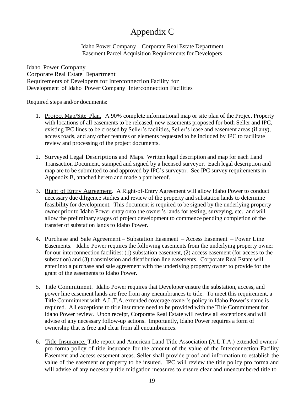# Appendix C

Idaho Power Company – Corporate Real Estate Department Easement Parcel Acquisition Requirements for Developers

Idaho Power Company Corporate Real Estate Department Requirements of Developers for Interconnection Facility for Development of Idaho Power Company Interconnection Facilities

Required steps and/or documents:

- 1. Project Map/Site Plan. A 90% complete informational map or site plan of the Project Property with locations of all easements to be released, new easements proposed for both Seller and IPC, existing IPC lines to be crossed by Seller's facilities, Seller's lease and easement areas (if any), access roads, and any other features or elements requested to be included by IPC to facilitate review and processing of the project documents.
- 2. Surveyed Legal Descriptions and Maps. Written legal description and map for each Land Transaction Document, stamped and signed by a licensed surveyor. Each legal description and map are to be submitted to and approved by IPC's surveyor. See IPC survey requirements in Appendix B, attached hereto and made a part hereof.
- 3. Right of Entry Agreement. A Right-of-Entry Agreement will allow Idaho Power to conduct necessary due diligence studies and review of the property and substation lands to determine feasibility for development. This document is required to be signed by the underlying property owner prior to Idaho Power entry onto the owner's lands for testing, surveying, etc. and will allow the preliminary stages of project development to commence pending completion of the transfer of substation lands to Idaho Power.
- 4. Purchase and Sale Agreement Substation Easement Access Easement Power Line Easements. Idaho Power requires the following easements from the underlying property owner for our interconnection facilities: (1) substation easement, (2) access easement (for access to the substation) and (3) transmission and distribution line easements. Corporate Real Estate will enter into a purchase and sale agreement with the underlying property owner to provide for the grant of the easements to Idaho Power.
- 5. Title Commitment. Idaho Power requires that Developer ensure the substation, access, and power line easement lands are free from any encumbrances to title. To meet this requirement, a Title Commitment with A.L.T.A. extended coverage owner's policy in Idaho Power's name is required. All exceptions to title insurance need to be provided with the Title Commitment for Idaho Power review. Upon receipt, Corporate Real Estate will review all exceptions and will advise of any necessary follow-up actions. Importantly, Idaho Power requires a form of ownership that is free and clear from all encumbrances.
- 6. Title Insurance. Title report and American Land Title Association (A.L.T.A.) extended owners' pro forma policy of title insurance for the amount of the value of the Interconnection Facility Easement and access easement areas. Seller shall provide proof and information to establish the value of the easement or property to be insured. IPC will review the title policy pro forma and will advise of any necessary title mitigation measures to ensure clear and unencumbered title to